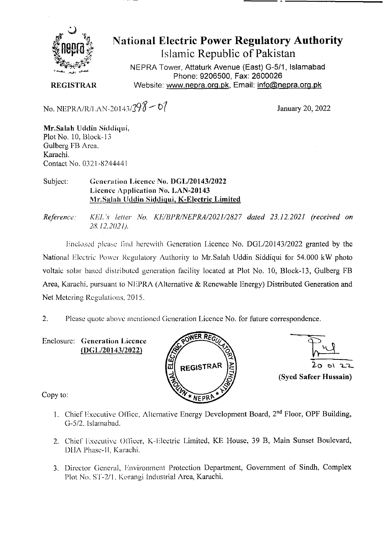

## **National Electric Power Regulatory Authority**

**Islamic Republic of Pakistan** 

NEPRA Tower, Attaturk Avenue (East) G-511, **Islamabad Phone: 9206500, Fax: 2600026**  Website: www.nepra.org.pk, Email: info@nepra.org.pk

**REGISTRAR** 

No. NEPRA/R/LAN-20143/ $398 - 07$  January 20, 2022

Mr.Salah Uddin Siddiqui, Plot No. 10, Block-13 Gulberg FB Area. Karachi. Contact No. 0321 -8244441

Subject: Generation Licence No. DGL/20143/2022 Licence Application No. **LAN-20143** Mr.Salah Uddin **Siddiqui, K-Electric Limited** 

*Reference: KEJ.* ',r letter *No. KE//31'R/NEPRA/2021/2827 dated 23.12.2021 ('received on 28. /2.202/).* 

Enclosed please find herewith Generation Licence No. DGL/20143/2022 granted by the National Electric Power Regulatory Authority to Mr.Salah Uddin Siddiqui for 54.000 kW photo voltaic solar based distributed generation facility located at Plot No. 10, Block-13, Gulberg FB Area, Karachi, pursuant to NEPRA (Alternative & Renewable Energy) Distributed Generation and Net Metering Regulations, 2015.

2. Please quote above mentioned Generation Licence No. for future correspondence.

Enclosure: **Generation 1 iccnce (DGL/20143/2022)** 





Copy to:

- 1. Chief Executive Office, Alternative Energy Development Board,  $2<sup>nd</sup>$  Floor, OPF Building, G-5/2. Islamahad.
- 2. Chief Executive Officer. K-Electric Limited, KE House. 39 B, Main Sunset Boulevard, D11A Phase-Il. Karachi.
- 3. Director General, Environment Protection Department, Government of Sindh, Complex Plot No. *ST-2/1*, Korangi Industrial Area, Karachi.